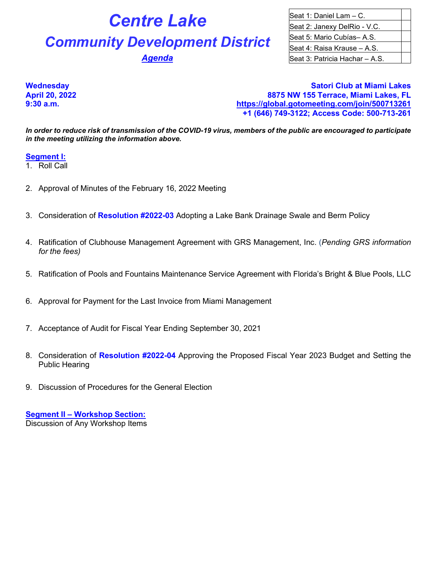# **Centre Lake** Seat 1: Daniel Lam – C.

# **Community Development District** Seat 5: Mario Cubías– A.S.

Seat 2: Janexy DelRio - V.C. Seat 4: Raisa Krause – A.S. **Agenda Seat 3: Patricia Hachar – A.S.** 

**Wednesday Satori Club at Miami Lakes April 20, 2022 8875 NW 155 Terrace, Miami Lakes, FL 9:30 a.m. <https://global.gotomeeting.com/join/500713261> +1 (646) 749-3122; Access Code: 500-713-261**

*In order to reduce risk of transmission of the COVID-19 virus, members of the public are encouraged to participate in the meeting utilizing the information above.*

#### **Segment I:**

1. Roll Call

- 2. Approval of Minutes of the February 16, 2022 Meeting
- 3. Consideration of **Resolution #2022-03** Adopting a Lake Bank Drainage Swale and Berm Policy
- 4. Ratification of Clubhouse Management Agreement with GRS Management, Inc. (*Pending GRS information for the fees)*
- 5. Ratification of Pools and Fountains Maintenance Service Agreement with Florida's Bright & Blue Pools, LLC
- 6. Approval for Payment for the Last Invoice from Miami Management
- 7. Acceptance of Audit for Fiscal Year Ending September 30, 2021
- 8. Consideration of **Resolution #2022-04** Approving the Proposed Fiscal Year 2023 Budget and Setting the Public Hearing
- 9. Discussion of Procedures for the General Election

**Segment II – Workshop Section:** Discussion of Any Workshop Items